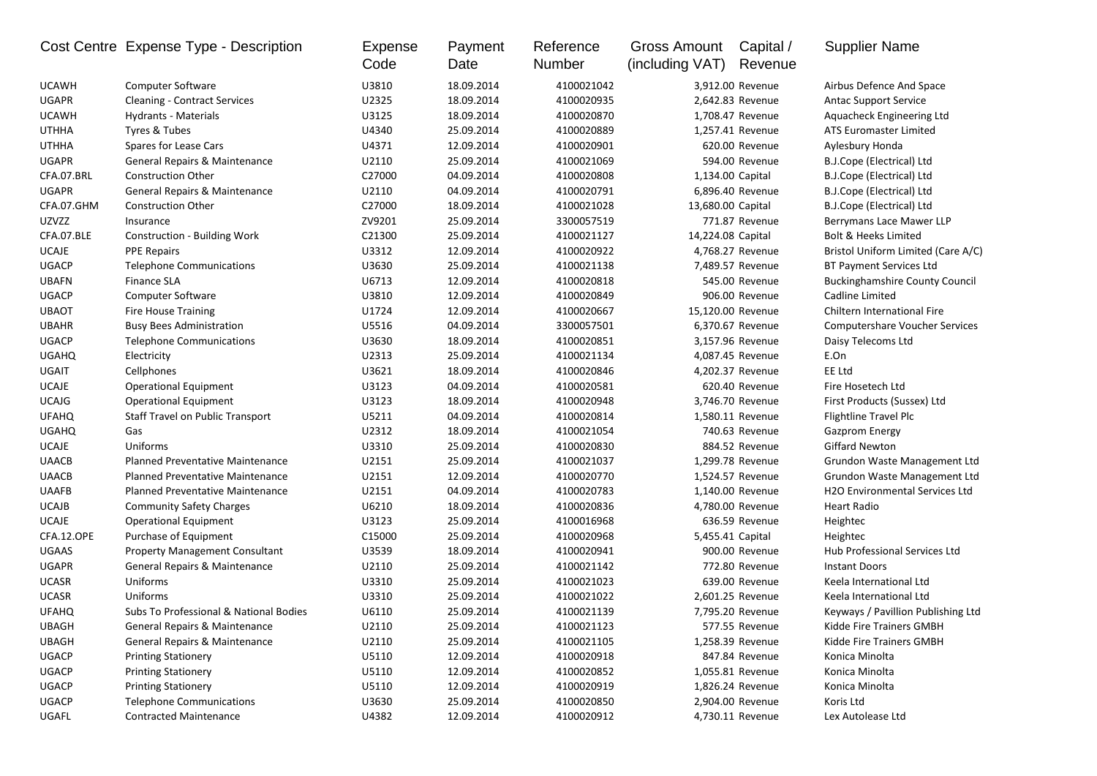|              | Cost Centre Expense Type - Description   | Expense<br>Code | Payment<br>Date | Reference<br>Number | Gross Amount<br>(including VAT) | Capital /<br>Revenue | <b>Supplier Name</b>                  |
|--------------|------------------------------------------|-----------------|-----------------|---------------------|---------------------------------|----------------------|---------------------------------------|
| <b>UCAWH</b> | Computer Software                        | U3810           | 18.09.2014      | 4100021042          |                                 | 3,912.00 Revenue     | Airbus Defence And Space              |
| <b>UGAPR</b> | <b>Cleaning - Contract Services</b>      | U2325           | 18.09.2014      | 4100020935          |                                 | 2,642.83 Revenue     | <b>Antac Support Service</b>          |
| <b>UCAWH</b> | Hydrants - Materials                     | U3125           | 18.09.2014      | 4100020870          |                                 | 1,708.47 Revenue     | Aquacheck Engineering Ltd             |
| <b>UTHHA</b> | Tyres & Tubes                            | U4340           | 25.09.2014      | 4100020889          |                                 | 1,257.41 Revenue     | ATS Euromaster Limited                |
| <b>UTHHA</b> | Spares for Lease Cars                    | U4371           | 12.09.2014      | 4100020901          |                                 | 620.00 Revenue       | Aylesbury Honda                       |
| <b>UGAPR</b> | General Repairs & Maintenance            | U2110           | 25.09.2014      | 4100021069          |                                 | 594.00 Revenue       | B.J.Cope (Electrical) Ltd             |
| CFA.07.BRL   | <b>Construction Other</b>                | C27000          | 04.09.2014      | 4100020808          |                                 | 1,134.00 Capital     | B.J.Cope (Electrical) Ltd             |
| <b>UGAPR</b> | General Repairs & Maintenance            | U2110           | 04.09.2014      | 4100020791          |                                 | 6,896.40 Revenue     | B.J.Cope (Electrical) Ltd             |
| CFA.07.GHM   | <b>Construction Other</b>                | C27000          | 18.09.2014      | 4100021028          | 13,680.00 Capital               |                      | B.J.Cope (Electrical) Ltd             |
| <b>UZVZZ</b> | Insurance                                | ZV9201          | 25.09.2014      | 3300057519          |                                 | 771.87 Revenue       | Berrymans Lace Mawer LLP              |
| CFA.07.BLE   | <b>Construction - Building Work</b>      | C21300          | 25.09.2014      | 4100021127          | 14,224.08 Capital               |                      | <b>Bolt &amp; Heeks Limited</b>       |
| <b>UCAJE</b> | <b>PPE Repairs</b>                       | U3312           | 12.09.2014      | 4100020922          |                                 | 4,768.27 Revenue     | Bristol Uniform Limited (Care A/C)    |
| <b>UGACP</b> | <b>Telephone Communications</b>          | U3630           | 25.09.2014      | 4100021138          |                                 | 7,489.57 Revenue     | <b>BT Payment Services Ltd</b>        |
| <b>UBAFN</b> | <b>Finance SLA</b>                       | U6713           | 12.09.2014      | 4100020818          |                                 | 545.00 Revenue       | <b>Buckinghamshire County Council</b> |
| <b>UGACP</b> | <b>Computer Software</b>                 | U3810           | 12.09.2014      | 4100020849          |                                 | 906.00 Revenue       | Cadline Limited                       |
| <b>UBAOT</b> | <b>Fire House Training</b>               | U1724           | 12.09.2014      | 4100020667          |                                 | 15,120.00 Revenue    | Chiltern International Fire           |
| <b>UBAHR</b> | <b>Busy Bees Administration</b>          | U5516           | 04.09.2014      | 3300057501          |                                 | 6,370.67 Revenue     | <b>Computershare Voucher Services</b> |
| <b>UGACP</b> | <b>Telephone Communications</b>          | U3630           | 18.09.2014      | 4100020851          |                                 | 3,157.96 Revenue     | Daisy Telecoms Ltd                    |
| <b>UGAHQ</b> | Electricity                              | U2313           | 25.09.2014      | 4100021134          |                                 | 4,087.45 Revenue     | E.On                                  |
| UGAIT        | Cellphones                               | U3621           | 18.09.2014      | 4100020846          |                                 | 4,202.37 Revenue     | EE Ltd                                |
| <b>UCAJE</b> | <b>Operational Equipment</b>             | U3123           | 04.09.2014      | 4100020581          |                                 | 620.40 Revenue       | Fire Hosetech Ltd                     |
| <b>UCAJG</b> | <b>Operational Equipment</b>             | U3123           | 18.09.2014      | 4100020948          |                                 | 3,746.70 Revenue     | First Products (Sussex) Ltd           |
| <b>UFAHQ</b> | Staff Travel on Public Transport         | U5211           | 04.09.2014      | 4100020814          |                                 | 1,580.11 Revenue     | Flightline Travel Plc                 |
| <b>UGAHQ</b> | Gas                                      | U2312           | 18.09.2014      | 4100021054          |                                 | 740.63 Revenue       | <b>Gazprom Energy</b>                 |
| <b>UCAJE</b> | Uniforms                                 | U3310           | 25.09.2014      | 4100020830          |                                 | 884.52 Revenue       | <b>Giffard Newton</b>                 |
| <b>UAACB</b> | <b>Planned Preventative Maintenance</b>  | U2151           | 25.09.2014      | 4100021037          |                                 | 1,299.78 Revenue     | Grundon Waste Management Ltd          |
| <b>UAACB</b> | Planned Preventative Maintenance         | U2151           | 12.09.2014      | 4100020770          |                                 | 1,524.57 Revenue     | Grundon Waste Management Ltd          |
| <b>UAAFB</b> | <b>Planned Preventative Maintenance</b>  | U2151           | 04.09.2014      | 4100020783          |                                 | 1,140.00 Revenue     | H2O Environmental Services Ltd        |
| <b>UCAJB</b> | <b>Community Safety Charges</b>          | U6210           | 18.09.2014      | 4100020836          |                                 | 4,780.00 Revenue     | <b>Heart Radio</b>                    |
| <b>UCAJE</b> | <b>Operational Equipment</b>             | U3123           | 25.09.2014      | 4100016968          |                                 | 636.59 Revenue       | Heightec                              |
| CFA.12.OPE   | Purchase of Equipment                    | C15000          | 25.09.2014      | 4100020968          |                                 | 5,455.41 Capital     | Heightec                              |
| UGAAS        | <b>Property Management Consultant</b>    | U3539           | 18.09.2014      | 4100020941          |                                 | 900.00 Revenue       | Hub Professional Services Ltd         |
| <b>UGAPR</b> | <b>General Repairs &amp; Maintenance</b> | U2110           | 25.09.2014      | 4100021142          |                                 | 772.80 Revenue       | <b>Instant Doors</b>                  |
| <b>UCASR</b> | Uniforms                                 | U3310           | 25.09.2014      | 4100021023          |                                 | 639.00 Revenue       | Keela International Ltd               |
| <b>UCASR</b> | Uniforms                                 | U3310           | 25.09.2014      | 4100021022          |                                 | 2,601.25 Revenue     | Keela International Ltd               |
| <b>UFAHQ</b> | Subs To Professional & National Bodies   | U6110           | 25.09.2014      | 4100021139          |                                 | 7.795.20 Revenue     | Keyways / Pavillion Publishing Ltd    |
| <b>UBAGH</b> | General Repairs & Maintenance            | U2110           | 25.09.2014      | 4100021123          |                                 | 577.55 Revenue       | Kidde Fire Trainers GMBH              |
| <b>UBAGH</b> | General Repairs & Maintenance            | U2110           | 25.09.2014      | 4100021105          |                                 | 1,258.39 Revenue     | Kidde Fire Trainers GMBH              |
| <b>UGACP</b> | <b>Printing Stationery</b>               | U5110           | 12.09.2014      | 4100020918          |                                 | 847.84 Revenue       | Konica Minolta                        |
| <b>UGACP</b> | <b>Printing Stationery</b>               | U5110           | 12.09.2014      | 4100020852          |                                 | 1,055.81 Revenue     | Konica Minolta                        |
| <b>UGACP</b> | <b>Printing Stationery</b>               | U5110           | 12.09.2014      | 4100020919          |                                 | 1,826.24 Revenue     | Konica Minolta                        |
| UGACP        | <b>Telephone Communications</b>          | U3630           | 25.09.2014      | 4100020850          |                                 | 2,904.00 Revenue     | Koris Ltd                             |
| UGAFL        | <b>Contracted Maintenance</b>            | U4382           | 12.09.2014      | 4100020912          |                                 | 4,730.11 Revenue     | Lex Autolease Ltd                     |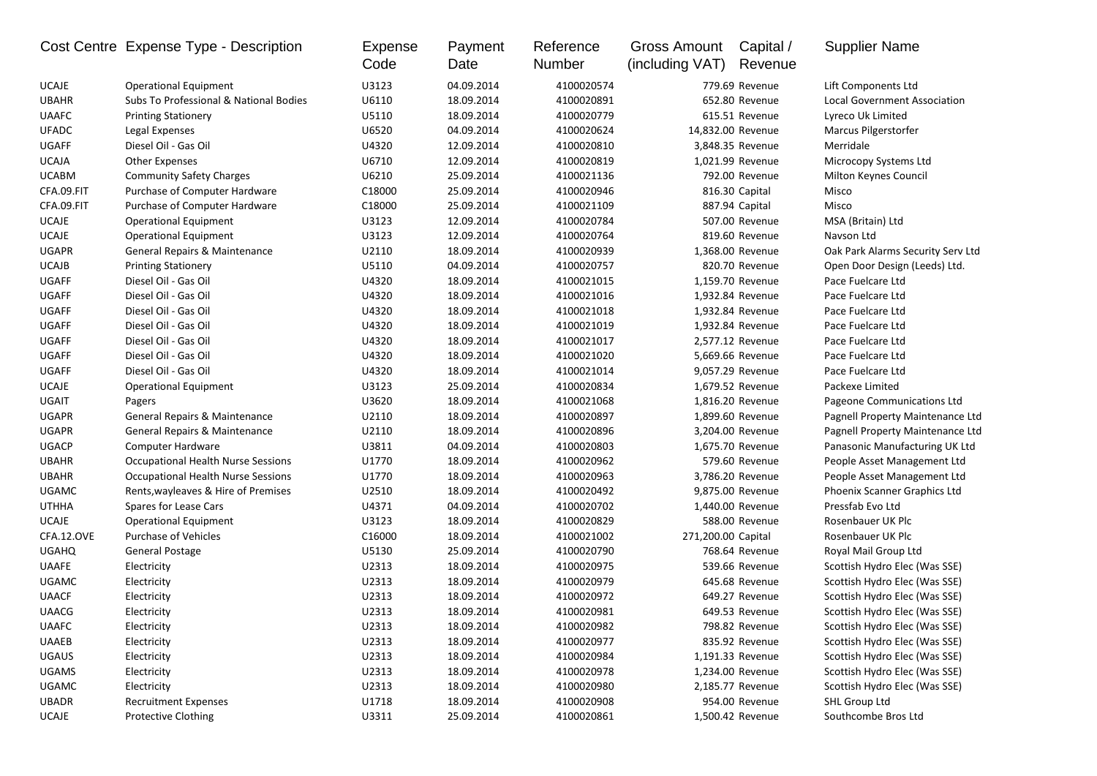|              | Cost Centre Expense Type - Description    | Expense<br>Code | Payment<br>Date | Reference<br>Number | <b>Gross Amount</b><br>(including VAT) | Capital /<br>Revenue | <b>Supplier Name</b>                |
|--------------|-------------------------------------------|-----------------|-----------------|---------------------|----------------------------------------|----------------------|-------------------------------------|
| <b>UCAJE</b> | <b>Operational Equipment</b>              | U3123           | 04.09.2014      | 4100020574          |                                        | 779.69 Revenue       | Lift Components Ltd                 |
| <b>UBAHR</b> | Subs To Professional & National Bodies    | U6110           | 18.09.2014      | 4100020891          |                                        | 652.80 Revenue       | <b>Local Government Association</b> |
| <b>UAAFC</b> | <b>Printing Stationery</b>                | U5110           | 18.09.2014      | 4100020779          |                                        | 615.51 Revenue       | Lyreco Uk Limited                   |
| <b>UFADC</b> | Legal Expenses                            | U6520           | 04.09.2014      | 4100020624          |                                        | 14,832.00 Revenue    | Marcus Pilgerstorfer                |
| <b>UGAFF</b> | Diesel Oil - Gas Oil                      | U4320           | 12.09.2014      | 4100020810          |                                        | 3,848.35 Revenue     | Merridale                           |
| <b>UCAJA</b> | <b>Other Expenses</b>                     | U6710           | 12.09.2014      | 4100020819          |                                        | 1,021.99 Revenue     | Microcopy Systems Ltd               |
| <b>UCABM</b> | <b>Community Safety Charges</b>           | U6210           | 25.09.2014      | 4100021136          |                                        | 792.00 Revenue       | Milton Keynes Council               |
| CFA.09.FIT   | Purchase of Computer Hardware             | C18000          | 25.09.2014      | 4100020946          |                                        | 816.30 Capital       | Misco                               |
| CFA.09.FIT   | Purchase of Computer Hardware             | C18000          | 25.09.2014      | 4100021109          |                                        | 887.94 Capital       | Misco                               |
| <b>UCAJE</b> | <b>Operational Equipment</b>              | U3123           | 12.09.2014      | 4100020784          |                                        | 507.00 Revenue       | MSA (Britain) Ltd                   |
| <b>UCAJE</b> | <b>Operational Equipment</b>              | U3123           | 12.09.2014      | 4100020764          |                                        | 819.60 Revenue       | Navson Ltd                          |
| <b>UGAPR</b> | General Repairs & Maintenance             | U2110           | 18.09.2014      | 4100020939          |                                        | 1,368.00 Revenue     | Oak Park Alarms Security Serv Ltd   |
| <b>UCAJB</b> | <b>Printing Stationery</b>                | U5110           | 04.09.2014      | 4100020757          |                                        | 820.70 Revenue       | Open Door Design (Leeds) Ltd.       |
| <b>UGAFF</b> | Diesel Oil - Gas Oil                      | U4320           | 18.09.2014      | 4100021015          |                                        | 1,159.70 Revenue     | Pace Fuelcare Ltd                   |
| <b>UGAFF</b> | Diesel Oil - Gas Oil                      | U4320           | 18.09.2014      | 4100021016          |                                        | 1,932.84 Revenue     | Pace Fuelcare Ltd                   |
| UGAFF        | Diesel Oil - Gas Oil                      | U4320           | 18.09.2014      | 4100021018          |                                        | 1,932.84 Revenue     | Pace Fuelcare Ltd                   |
| <b>UGAFF</b> | Diesel Oil - Gas Oil                      | U4320           | 18.09.2014      | 4100021019          |                                        | 1,932.84 Revenue     | Pace Fuelcare Ltd                   |
| <b>UGAFF</b> | Diesel Oil - Gas Oil                      | U4320           | 18.09.2014      | 4100021017          |                                        | 2,577.12 Revenue     | Pace Fuelcare Ltd                   |
| <b>UGAFF</b> | Diesel Oil - Gas Oil                      | U4320           | 18.09.2014      | 4100021020          |                                        | 5,669.66 Revenue     | Pace Fuelcare Ltd                   |
| <b>UGAFF</b> | Diesel Oil - Gas Oil                      | U4320           | 18.09.2014      | 4100021014          |                                        | 9,057.29 Revenue     | Pace Fuelcare Ltd                   |
| <b>UCAJE</b> | <b>Operational Equipment</b>              | U3123           | 25.09.2014      | 4100020834          |                                        | 1,679.52 Revenue     | Packexe Limited                     |
| UGAIT        | Pagers                                    | U3620           | 18.09.2014      | 4100021068          |                                        | 1,816.20 Revenue     | Pageone Communications Ltd          |
| <b>UGAPR</b> | General Repairs & Maintenance             | U2110           | 18.09.2014      | 4100020897          |                                        | 1,899.60 Revenue     | Pagnell Property Maintenance Ltd    |
| <b>UGAPR</b> | General Repairs & Maintenance             | U2110           | 18.09.2014      | 4100020896          |                                        | 3,204.00 Revenue     | Pagnell Property Maintenance Ltd    |
| <b>UGACP</b> | <b>Computer Hardware</b>                  | U3811           | 04.09.2014      | 4100020803          |                                        | 1,675.70 Revenue     | Panasonic Manufacturing UK Ltd      |
| <b>UBAHR</b> | <b>Occupational Health Nurse Sessions</b> | U1770           | 18.09.2014      | 4100020962          |                                        | 579.60 Revenue       | People Asset Management Ltd         |
| <b>UBAHR</b> | <b>Occupational Health Nurse Sessions</b> | U1770           | 18.09.2014      | 4100020963          |                                        | 3,786.20 Revenue     | People Asset Management Ltd         |
| <b>UGAMC</b> | Rents, wayleaves & Hire of Premises       | U2510           | 18.09.2014      | 4100020492          |                                        | 9,875.00 Revenue     | Phoenix Scanner Graphics Ltd        |
| <b>UTHHA</b> | Spares for Lease Cars                     | U4371           | 04.09.2014      | 4100020702          |                                        | 1,440.00 Revenue     | Pressfab Evo Ltd                    |
| <b>UCAJE</b> | <b>Operational Equipment</b>              | U3123           | 18.09.2014      | 4100020829          |                                        | 588.00 Revenue       | Rosenbauer UK Plc                   |
| CFA.12.OVE   | Purchase of Vehicles                      | C16000          | 18.09.2014      | 4100021002          | 271,200.00 Capital                     |                      | Rosenbauer UK Plc                   |
| <b>UGAHQ</b> | <b>General Postage</b>                    | U5130           | 25.09.2014      | 4100020790          |                                        | 768.64 Revenue       | Royal Mail Group Ltd                |
| <b>UAAFE</b> | Electricity                               | U2313           | 18.09.2014      | 4100020975          |                                        | 539.66 Revenue       | Scottish Hydro Elec (Was SSE)       |
| UGAMC        | Electricity                               | U2313           | 18.09.2014      | 4100020979          |                                        | 645.68 Revenue       | Scottish Hydro Elec (Was SSE)       |
| <b>UAACF</b> | Electricity                               | U2313           | 18.09.2014      | 4100020972          |                                        | 649.27 Revenue       | Scottish Hydro Elec (Was SSE)       |
| <b>UAACG</b> | Electricity                               | U2313           | 18.09.2014      | 4100020981          |                                        | 649.53 Revenue       | Scottish Hydro Elec (Was SSE)       |
| <b>UAAFC</b> | Electricity                               | U2313           | 18.09.2014      | 4100020982          |                                        | 798.82 Revenue       | Scottish Hydro Elec (Was SSE)       |
| <b>UAAEB</b> | Electricity                               | U2313           | 18.09.2014      | 4100020977          |                                        | 835.92 Revenue       | Scottish Hydro Elec (Was SSE)       |
| <b>UGAUS</b> | Electricity                               | U2313           | 18.09.2014      | 4100020984          |                                        | 1,191.33 Revenue     | Scottish Hydro Elec (Was SSE)       |
| <b>UGAMS</b> | Electricity                               | U2313           | 18.09.2014      | 4100020978          |                                        | 1,234.00 Revenue     | Scottish Hydro Elec (Was SSE)       |
| <b>UGAMC</b> | Electricity                               | U2313           | 18.09.2014      | 4100020980          |                                        | 2,185.77 Revenue     | Scottish Hydro Elec (Was SSE)       |
| <b>UBADR</b> | <b>Recruitment Expenses</b>               | U1718           | 18.09.2014      | 4100020908          |                                        | 954.00 Revenue       | SHL Group Ltd                       |
| UCAJE        | <b>Protective Clothing</b>                | U3311           | 25.09.2014      | 4100020861          |                                        | 1,500.42 Revenue     | Southcombe Bros Ltd                 |